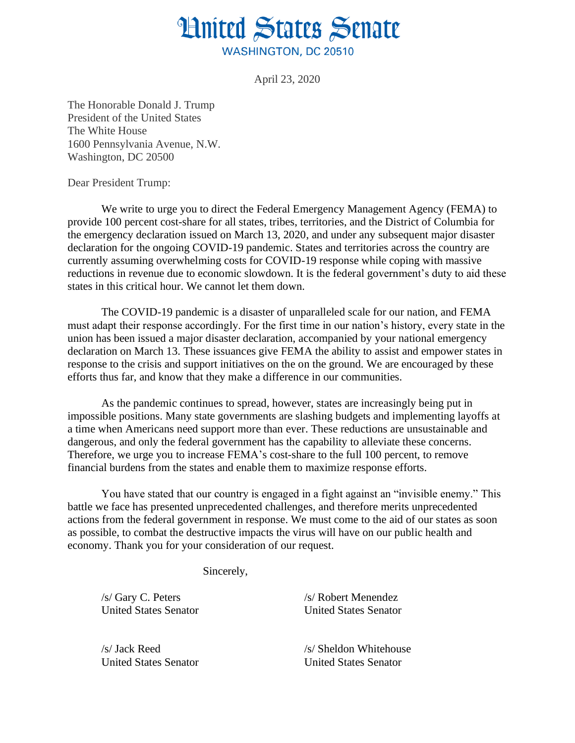## **Hnited States Senate WASHINGTON, DC 20510**

April 23, 2020

The Honorable Donald J. Trump President of the United States The White House 1600 Pennsylvania Avenue, N.W. Washington, DC 20500

Dear President Trump:

We write to urge you to direct the Federal Emergency Management Agency (FEMA) to provide 100 percent cost-share for all states, tribes, territories, and the District of Columbia for the emergency declaration issued on March 13, 2020, and under any subsequent major disaster declaration for the ongoing COVID-19 pandemic. States and territories across the country are currently assuming overwhelming costs for COVID-19 response while coping with massive reductions in revenue due to economic slowdown. It is the federal government's duty to aid these states in this critical hour. We cannot let them down.

The COVID-19 pandemic is a disaster of unparalleled scale for our nation, and FEMA must adapt their response accordingly. For the first time in our nation's history, every state in the union has been issued a major disaster declaration, accompanied by your national emergency declaration on March 13. These issuances give FEMA the ability to assist and empower states in response to the crisis and support initiatives on the on the ground. We are encouraged by these efforts thus far, and know that they make a difference in our communities.

As the pandemic continues to spread, however, states are increasingly being put in impossible positions. Many state governments are slashing budgets and implementing layoffs at a time when Americans need support more than ever. These reductions are unsustainable and dangerous, and only the federal government has the capability to alleviate these concerns. Therefore, we urge you to increase FEMA's cost-share to the full 100 percent, to remove financial burdens from the states and enable them to maximize response efforts.

You have stated that our country is engaged in a fight against an "invisible enemy." This battle we face has presented unprecedented challenges, and therefore merits unprecedented actions from the federal government in response. We must come to the aid of our states as soon as possible, to combat the destructive impacts the virus will have on our public health and economy. Thank you for your consideration of our request.

Sincerely,

/s/ Gary C. Peters /s/ Robert Menendez

United States Senator United States Senator

/s/ Jack Reed /s/ Sheldon Whitehouse United States Senator United States Senator